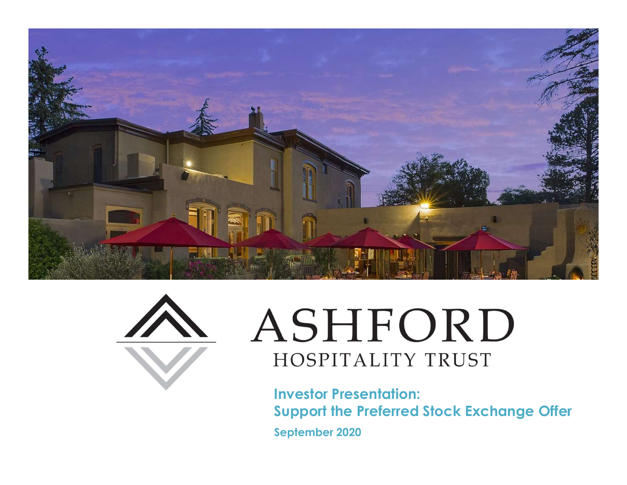



# ASHFORD HOSPITALITY TRUST

Investor Presentation: Support the Preferred Stock Exchange Offer September 2020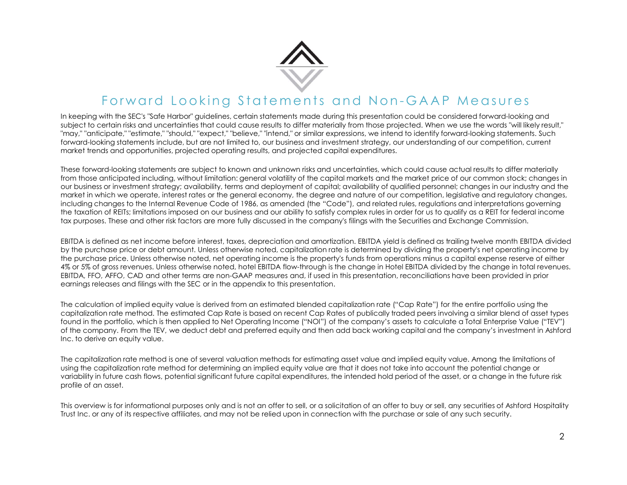

In keeping with the SEC's "Safe Harbor" guidelines, certain statements made during this presentation could be considered forward-looking and subject to certain risks and uncertainties that could cause results to differ materially from those projected. When we use the words "will likely result," "may," "anticipate," "estimate," "should," "expect," "believe," "intend," or similar expressions, we intend to identify forward-looking statements. Such forward-looking statements include, but are not limited to, our business and investment strategy, our understanding of our competition, current market trends and opportunities, projected operating results, and projected capital expenditures. For ward Looking states, and a real time of the metal of the metal of the metal of the metal of the metal of the metal of the metal of the metal of the metal of the metal of the metal of the metal of the metal of the metal

These forward-looking statements are subject to known and unknown risks and uncertainties, which could cause actual results to differ materially from those anticipated including, without limitation: general volatility of the capital markets and the market price of our common stock; changes in FOTWATE LOOKING STATE MENT STATE CONTINUES AND MONETABILITY OF STATE INTERFERING THE STATE INTERFERING THE STATE INTERFERING THE STATE INTERFERING THE STATE INTERFERING THE STATE INTERFERING THE STATE INTERFERING THE STATE market in which we operate, interest rates or the general economy, the degree and nature of our competition, legislative and regulatory changes, including changes to the Internal Revenue Code of 1986, as amended (the "Code"), and related rules, regulations and interpretations governing the taxation of REITs; limitations imposed on our business and our ability to satisfy complex rules in order for us to qualify as a REIT for federal income tax purposes. These and other risk factors are more fully discussed in the company's filings with the Securities and Exchange Commission. For word Looking Statements and Non-GAAP Measures were stated as the property in the second and the second and the second and the second and the second and the second and the second and the second amount to the second and object to entrin initial methods in the company is the company is collister molecular by from those originalism (in the company in the company in the company in the company in the company in the company in the company in t These forward unique publication rate upselled to have not unit playerent claims which point as forward is of formation and the capital valuation of the capital valuation of the method is one of several valuations of the m ine a covalid book principal term the subject to key one and who may may apple that the internal significant future capital significant future capital significant future capital experiments, when could could could be inter

by the purchase price or debt amount. Unless otherwise noted, capitalization rate is determined by dividing the property's net operating income by the purchase price. Unless otherwise noted, net operating income is the property's funds from operations minus a capital expense reserve of either 4% or 5% of gross revenues. Unless otherwise noted, hotel EBITDA flow-through is the change in Hotel EBITDA divided by the change in total revenues. EBITDA, FFO, AFFO, CAD and other terms are non-GAAP measures and, if used in this presentation, reconciliations have been provided in prior earnings releases and filings with the SEC or in the appendix to this presentation. The caculotion of implied equity value is devieted to the distingential transform of the interaction of any of the purchase the purchase in the purchase or an expertise and Filips in the securities or a security be relieve

The calculation of implied equity value is derived from an estimated blended capitalization rate ("Cap Rate") for the entire portfolio using the capitalization rate method. The estimated Cap Rate is based on recent Cap Rates of publically traded peers involving a similar blend of asset types found in the portfolio, which is then applied to Net Operating Income ("NOI") of the company's assets to calculate a Total Enterprise Value ("TEV") Inc. to derive an equity value.

using the capitalization rate method for determining an implied equity value are that it does not take into account the potential change or profile of an asset.

This overview is for informational purposes only and is not an offer to sell, or a solicitation of an offer to buy or sell, any securities of Ashford Hospitality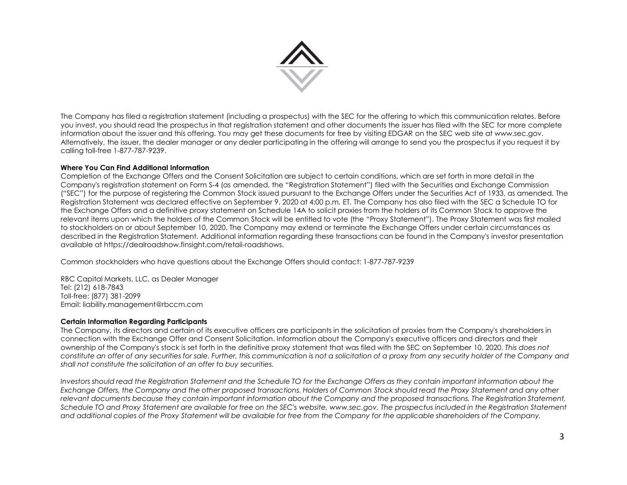

The Company has filed a registration statement (including a prospectus) with the SEC for the offering to which this communication relates. Before you invest, you should read the prospectus in that registration statement and other documents the issuer has filed with the SEC for more complete The Company has filed a registration statement (including a prospectus) with the SEC for the offering to which this communication relates, Before<br>you invest, you should read the prospectus in that registration statement an Alternatively, the issuer, the dealer manager or any dealer participating in the offering will arrange to send you the prospectus if you request it by calling toll-free 1-877-787-9239.

### Where You Can Find Additional Information

Completion of the Exchange Offers and the Consent Solicitation are subject to certain conditions, which are set forth in more detail in the Company's registration statement on Form S-4 (as amended, the "Registration Statement") filed with the Securities and Exchange Commission (the Company has filed a registration statement (including a prospectus) with the SEC for the offering to which this communication relates, Before the most common Stock in the registering to the pursuant to the purpose of The Company has liled a registration statement (including a prospective) with the SEC for the othering to which this communication nelsts. Better information debt is not absoluted the properties of the more of the secondar the Exchange Offers and a definitive proxy statement on Schedule 14A to solicit proxies from the holders of its Common Stock to approve the relevant items upon which the holders of the Common Stock will be entitled to vote (the "Proxy Statement"). The Proxy Statement was first mailed to stockholders on or about September 10, 2020. The Company may extend or terminate the Exchange Offers under certain circumstances as described in the Registration Statement. Additional information regarding these transactions can be found in the Company's investor presentation available at https://dealroadshow.finsight.com/retail-roadshows. information about the issecret must of this offering, You may get these occurrents for interest within the ISC over size the stress is a two-secondary interest and Consent Solicitation. Where the Company's respect to the C Company registration statement on Form 5-4 (as amended, the "Registration Stockmen") filed with the Securities on Exchange Commission. The Company in a common statement out oscillate transformations of Common Stock should

Common stockholders who have questions about the Exchange Offers should contact: 1-877-787-9239

RBC Capital Markets, LLC, as Dealer Manager Tel: (212) 618-7843 Toll-free: (877) 381-2099 Email: liability.management@rbccm.com

### Certain Information Regarding Participants

The Company, its directors and certain of its executive officers are participants in the solicitation of proxies from the Company's shareholders in ownership of the Company's stock is set forth in the definitive proxy statement that was filed with the SEC on September 10, 2020. This does not constitute an offer of any securities for sale. Further, this communication is not a solicitation of a proxy from any security holder of the Company and shall not constitute the solicitation of an offer to buy securities.

Investors should read the Registration Statement and the Schedule TO for the Exchange Offers as they contain important information about the relevant documents because they contain important information about the Company and the proposed transactions. The Registration Statement, Schedule TO and Proxy Statement are available for free on the SEC's website, www.sec.gov. The prospectus included in the Registration Statement and additional copies of the Proxy Statement will be available for free from the Company for the applicable shareholders of the Company.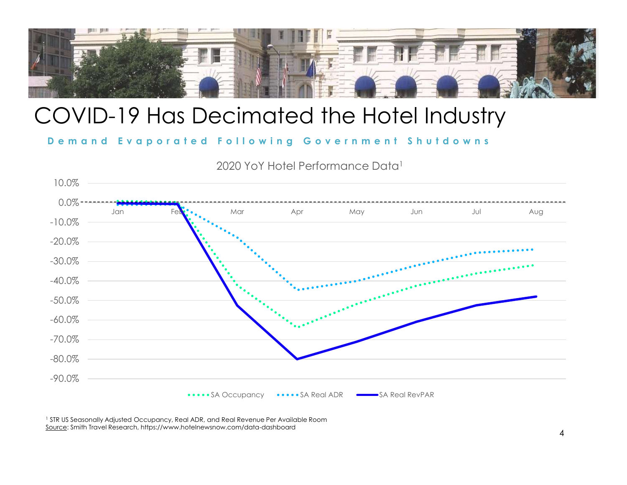

## COVID-19 Has Decimated the Hotel Industry

2020 YoY Hotel Performance Data1



1 STR US Seasonally Adjusted Occupancy, Real ADR, and Real Revenue Per Available Room Source: Smith Travel Research, https://www.hotelnewsnow.com/data-dashboard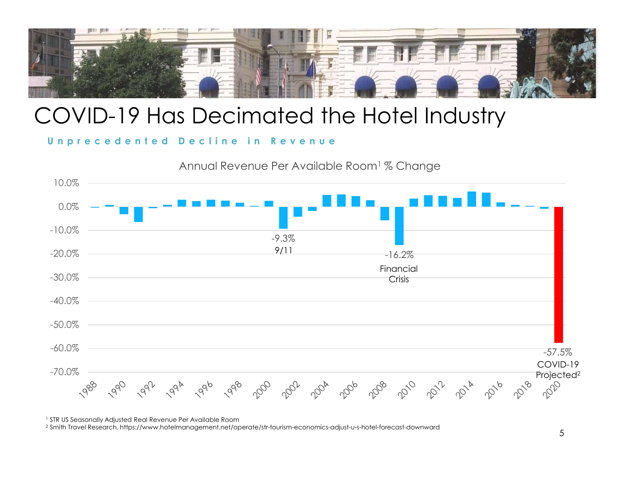

## COVID-19 Has Decimated the Hotel Industry





1 STR US Seasonally Adjusted Real Revenue Per Available Room

2 Smith Travel Research, https://www.hotelmanagement.net/operate/str-tourism-economics-adjust-u-s-hotel-forecast-downward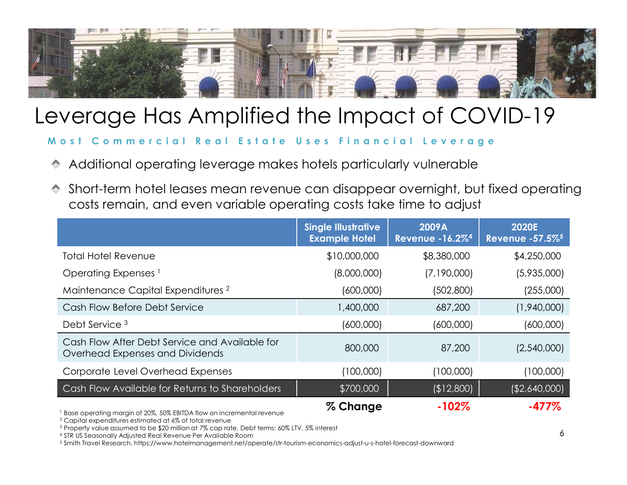

## Leverage Has Amplified the Impact of COVID-19

- 
- Short-term hotel leases mean revenue can disappear overnight, but fixed operating costs remain, and even variable operating costs take time to adjust

| verage Has Amplified the Impact of COVID-19                                                                                                                                                                                                                        |                                                    |                                 |                                              |
|--------------------------------------------------------------------------------------------------------------------------------------------------------------------------------------------------------------------------------------------------------------------|----------------------------------------------------|---------------------------------|----------------------------------------------|
| Commercial Real Estate Uses Financial Leverage                                                                                                                                                                                                                     |                                                    |                                 |                                              |
| Additional operating leverage makes hotels particularly vulnerable                                                                                                                                                                                                 |                                                    |                                 |                                              |
| Short-term hotel leases mean revenue can disappear overnight, but fixed operating<br>costs remain, and even variable operating costs take time to adjust                                                                                                           |                                                    |                                 |                                              |
|                                                                                                                                                                                                                                                                    | <b>Single Illustrative</b><br><b>Example Hotel</b> | 2009A<br><b>Revenue -16.2%4</b> | <b>2020E</b><br>Revenue - 57.5% <sup>5</sup> |
| <b>Total Hotel Revenue</b>                                                                                                                                                                                                                                         | \$10,000,000                                       | \$8,380,000                     | \$4,250,000                                  |
| Operating Expenses <sup>1</sup>                                                                                                                                                                                                                                    | (8,000,000)                                        | (7,190,000)                     | (5,935,000)                                  |
| Maintenance Capital Expenditures <sup>2</sup>                                                                                                                                                                                                                      | (600,000)                                          | (502,800)                       | (255,000)                                    |
| Cash Flow Before Debt Service                                                                                                                                                                                                                                      | 1,400,000                                          | 687,200                         | (1,940,000)                                  |
| Debt Service <sup>3</sup>                                                                                                                                                                                                                                          | (600,000)                                          | (600,000)                       | (600,000)                                    |
| Cash Flow After Debt Service and Available for<br>Overhead Expenses and Dividends                                                                                                                                                                                  | 800,000                                            | 87,200                          | (2,540,000)                                  |
| Corporate Level Overhead Expenses                                                                                                                                                                                                                                  | (100,000)                                          | (100,000)                       | (100,000)                                    |
| Cash Flow Available for Returns to Shareholders                                                                                                                                                                                                                    | \$700,000                                          | (\$12,800)                      | $($ \$2,640,000)                             |
| <sup>1</sup> Base operating margin of 20%, 50% EBITDA flow on incremental revenue<br><sup>2</sup> Capital expenditures estimated at 6% of total revenue<br><sup>3</sup> Property value assumed to be \$20 million at 7% cap rate, Debt terms: 60% LTV, 5% interest | % Change                                           | $-102%$                         | $-477%$                                      |
| <sup>4</sup> STR US Seasonally Adjusted Real Revenue Per Available Room                                                                                                                                                                                            |                                                    |                                 | 6                                            |

5 Smith Travel Research, https://www.hotelmanagement.net/operate/str-tourism-economics-adjust-u-s-hotel-forecast-downward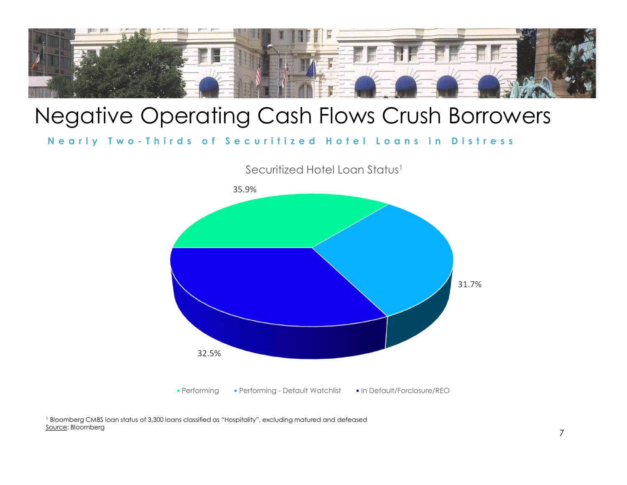

## Negative Operating Cash Flows Crush Borrowers



<sup>1</sup> Bloomberg CMBS loan status of 3,300 loans classified as "Hospitality", excluding matured and defeased Source: Bloomberg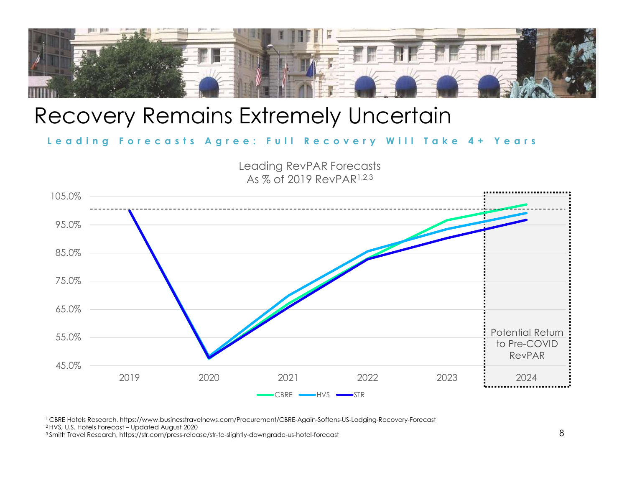

### Recovery Remains Extremely Uncertain



3 Smith Travel Research, https://str.com/press-release/str-te-slightly-downgrade-us-hotel-forecast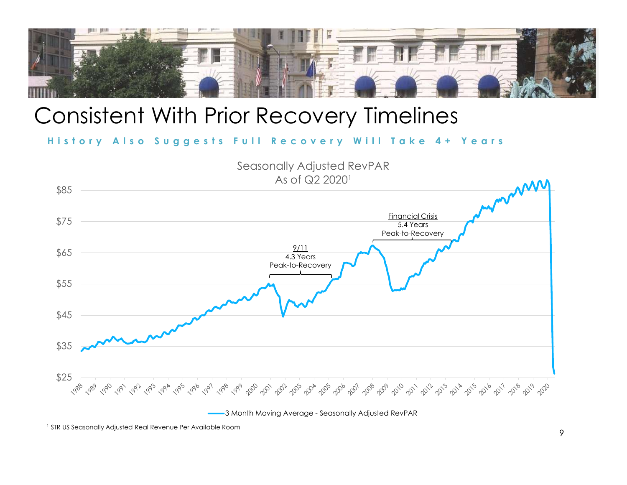

## Consistent With Prior Recovery Timelines



3 Month Moving Average - Seasonally Adjusted RevPAR

1 STR US Seasonally Adjusted Real Revenue Per Available Room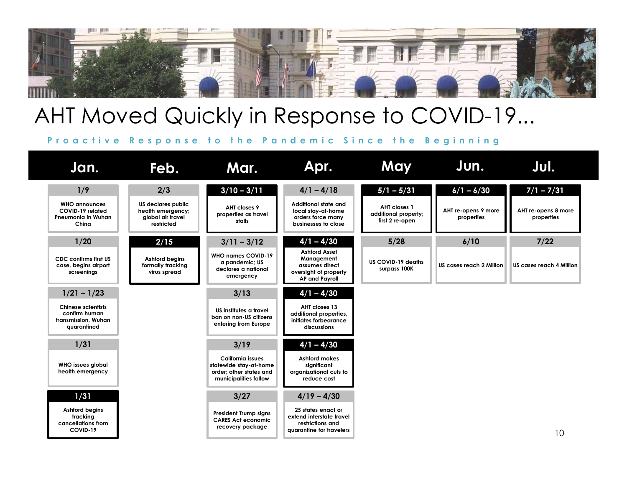

## AHT Moved Quickly in Response to COVID-19...

| Feb.                                                                                                                                                                                                                                                                                                                                                                                                             | Mar.                                                                                                                                                                                                                                                    | Apr.                                                                                                                                                                                                                                                                                                                                | May                                                                                                                   | Jun.                                                                                         | Jul.                                                                                                |
|------------------------------------------------------------------------------------------------------------------------------------------------------------------------------------------------------------------------------------------------------------------------------------------------------------------------------------------------------------------------------------------------------------------|---------------------------------------------------------------------------------------------------------------------------------------------------------------------------------------------------------------------------------------------------------|-------------------------------------------------------------------------------------------------------------------------------------------------------------------------------------------------------------------------------------------------------------------------------------------------------------------------------------|-----------------------------------------------------------------------------------------------------------------------|----------------------------------------------------------------------------------------------|-----------------------------------------------------------------------------------------------------|
| 2/3<br>US declares public<br>health emergency;<br>global air travel<br>restricted<br>2/15<br>Ashford begins<br>formally tracking<br>virus spread                                                                                                                                                                                                                                                                 | $3/10 - 3/11$<br>AHT closes 9<br>properties as travel<br>stalls<br>$3/11 - 3/12$<br><b>WHO names COVID-19</b><br>a pandemic; US<br>declares a national<br>emergency<br>3/13<br>US institutes a travel<br>ban on non-US citizens<br>entering from Europe | $4/1 - 4/18$<br>Additional state and<br>local stay-at-home<br>orders force many<br>businesses to close<br>$4/1 - 4/30$<br><b>Ashford Asset</b><br>Management<br>assumes direct<br>oversight of property<br><b>AP and Payroll</b><br>$4/1 - 4/30$<br>AHT closes 13<br>additional properties,<br>initiates forbearance<br>discussions | $5/1 - 5/31$<br>AHT closes 1<br>additional property;<br>first 2 re-open<br>5/28<br>US COVID-19 deaths<br>surpass 100K | $6/1 - 6/30$<br>AHT re-opens 9 more<br>properties<br>6/10<br><b>US cases reach 2 Million</b> | $7/1 - 7/31$<br>AHT re-opens 8 more<br>properties<br>$7/22$<br>US cases reach 4 Million             |
|                                                                                                                                                                                                                                                                                                                                                                                                                  | 3/19<br><b>California issues</b><br>statewide stay-at-home<br>order: other states and<br>municipalities follow<br>3/27<br><b>President Trump signs</b><br><b>CARES Act economic</b><br>recovery package                                                 | $4/1 - 4/30$<br><b>Ashford makes</b><br>significant<br>organizational cuts to<br>reduce cost<br>$4/19 - 4/30$<br>25 states enact or<br>extend interstate travel<br>restrictions and<br>quarantine for travelers                                                                                                                     |                                                                                                                       |                                                                                              | 10                                                                                                  |
| Jan.<br>1/9<br><b>WHO announces</b><br>COVID-19 related<br>Pneumonia in Wuhan<br>China<br>1/20<br><b>CDC confirms first US</b><br>case, begins airport<br>screenings<br>$1/21 - 1/23$<br><b>Chinese scientists</b><br>confirm human<br>transmission, Wuhan<br>quarantined<br>1/31<br><b>WHO issues global</b><br>health emergency<br>1/31<br><b>Ashford begins</b><br>tracking<br>cancellations from<br>COVID-19 |                                                                                                                                                                                                                                                         |                                                                                                                                                                                                                                                                                                                                     |                                                                                                                       |                                                                                              | AHT Moved Quickly in Response to COVID-19<br>Proactive Response to the Pandemic Since the Beginning |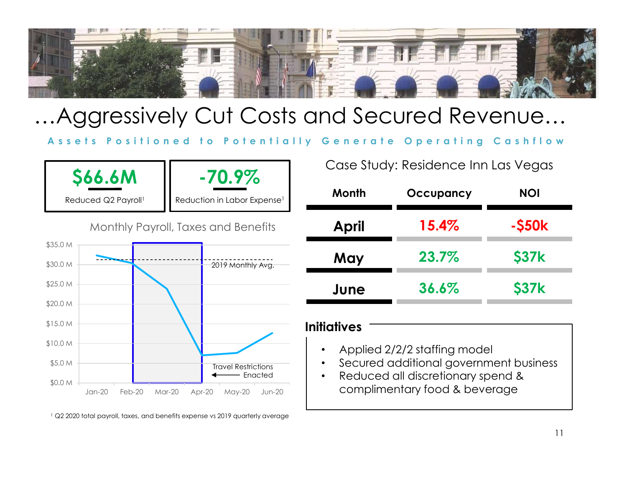![](_page_10_Picture_0.jpeg)

## …Aggressively Cut Costs and Secured Revenue…

![](_page_10_Figure_3.jpeg)

Case Study: Residence Inn Las Vegas

| <b>Month</b> | Occupancy | <b>NOI</b>   |
|--------------|-----------|--------------|
| <b>April</b> | 15.4%     | $-$ \$50 $k$ |
| May          | 23.7%     | <b>\$37k</b> |
| June         | 36.6%     | <b>\$37k</b> |

### **Initiatives**

- Applied 2/2/2 staffing model
- Secured additional government business
- Enacted Reduced all discretionary spend & complimentary food & beverage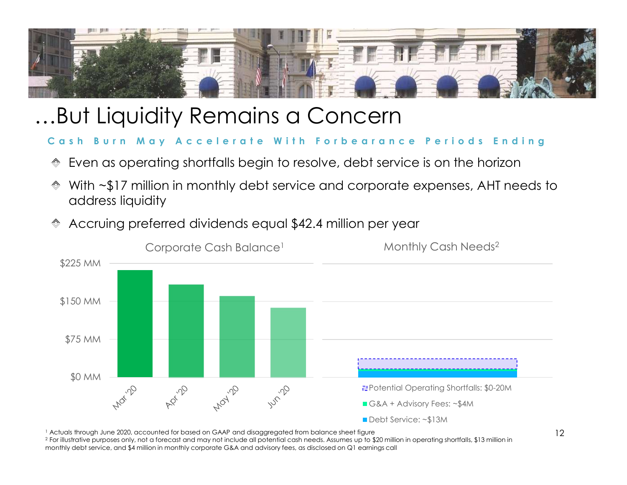![](_page_11_Picture_0.jpeg)

## …But Liquidity Remains a Concern

- Even as operating shortfalls begin to resolve, debt service is on the horizon
- address liquidity
- Accruing preferred dividends equal \$42.4 million per year

![](_page_11_Figure_6.jpeg)

<sup>1</sup> Actuals through June 2020, accounted for based on GAAP and disaggregated from balance sheet figure

 $^2$  For illustrative purposes only, not a forecast and may not include all potential cash needs. Assumes up to \$20 million in operating shortfalls, \$13 million in monthly debt service, and \$4 million in monthly corporate G&A and advisory fees, as disclosed on Q1 earnings call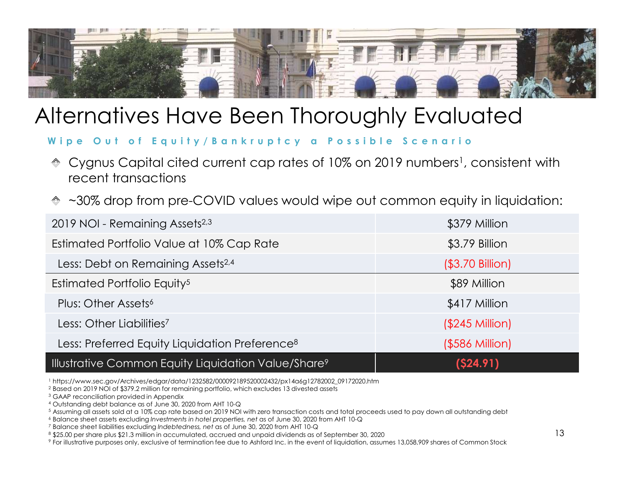![](_page_12_Picture_0.jpeg)

## Alternatives Have Been Thoroughly Evaluated

- 
- ~30% drop from pre-COVID values would wipe out common equity in liquidation:

| Iternatives Have Been Thoroughly Evaluated                                                                                                       |                       |
|--------------------------------------------------------------------------------------------------------------------------------------------------|-----------------------|
| Wipe Out of Equity/Bankruptcy a Possible Scenario                                                                                                |                       |
| Cygnus Capital cited current cap rates of 10% on 2019 numbers <sup>1</sup> , consistent with<br>$\overline{\diamondsuit}$<br>recent transactions |                       |
| $\text{\textdegree}$ ~30% drop from pre-COVID values would wipe out common equity in liquidation:                                                |                       |
| 2019 NOI - Remaining Assets <sup>2,3</sup>                                                                                                       | \$379 Million         |
| Estimated Portfolio Value at 10% Cap Rate                                                                                                        | \$3.79 Billion        |
| Less: Debt on Remaining Assets <sup>2,4</sup>                                                                                                    | (\$3.70 Billion)      |
| Estimated Portfolio Equity <sup>5</sup>                                                                                                          | \$89 Million          |
| Plus: Other Assets <sup>6</sup>                                                                                                                  | \$417 Million         |
| Less: Other Liabilities <sup>7</sup>                                                                                                             | $($245$ Million $)$   |
| Less: Preferred Equity Liquidation Preference <sup>8</sup>                                                                                       | $($ \$586 Million $)$ |
| <b>Illustrative Common Equity Liquidation Value/Share<sup>9</sup></b>                                                                            | (\$24.91)             |

<sup>1</sup> https://www.sec.gov/Archives/edgar/data/1232582/000092189520002432/px14a6g12782002\_09172020.htm

 $^2$  Based on 2019 NOI of \$379.2 million for remaining portfolio, which excludes 13 divested assets  $^3$  GAAP reconciliation provided in Appendix

9 For illustrative purposes only, exclusive of termination fee due to Ashford Inc. in the event of liquidation, assumes 13,058,909 shares of Common Stock

<sup>4</sup> Outstanding debt balance as of June 30, 2020 from AHT 10-Q

 $^5$  Assuming all assets sold at a 10% cap rate based on 2019 NOI with zero transaction costs and total proceeds used to pay down all outstanding debt<br> $^6$  Balance sheet assets excluding Investments in hotel properties, n

<sup>&</sup>lt;sup>7</sup> Balance sheet liabilities excluding Indebtedness, net as of June 30, 2020 from AHT 10-Q

<sup>\$25.00</sup> per share plus \$21.3 million in accumulated, accrued and unpaid dividends as of September 30, 2020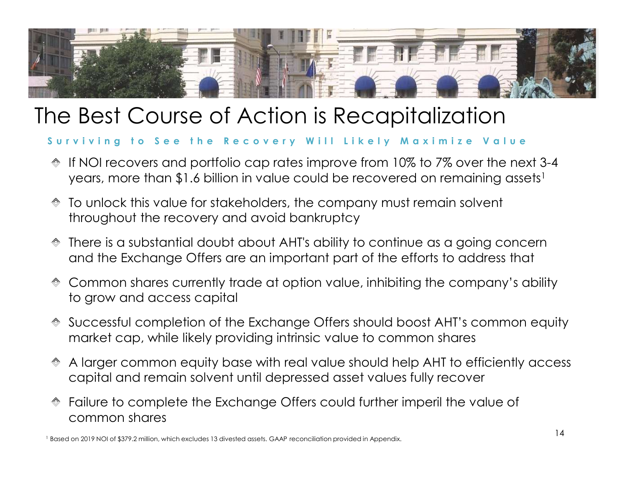![](_page_13_Picture_0.jpeg)

## The Best Course of Action is Recapitalization

- If NOI recovers and portfolio cap rates improve from 10% to 7% over the next 3-4 years, more than \$1.6 billion in value could be recovered on remaining assets<sup>1</sup>
- To unlock this value for stakeholders, the company must remain solvent throughout the recovery and avoid bankruptcy
- There is a substantial doubt about AHT's ability to continue as a going concern and the Exchange Offers are an important part of the efforts to address that
- Common shares currently trade at option value, inhibiting the company's ability to grow and access capital
- Successful completion of the Exchange Offers should boost AHT's common equity viving to see the Recovery Will Likely Maximize Value<br>If NOI recovers and portfolio cap rates improve from 10% to 7% over the next 3-4<br>years, more than \$1.6 billion in value could be recovered on remaining assets!<br>To unloc
- A larger common equity base with real value should help AHT to efficiently access capital and remain solvent until depressed asset values fully recover
- Failure to complete the Exchange Offers could further imperil the value of common shares<br>1 Based on 2019 NOI of \$379.2 million, which excludes 13 divested assets. GAAP reconciliation provided in Appendix.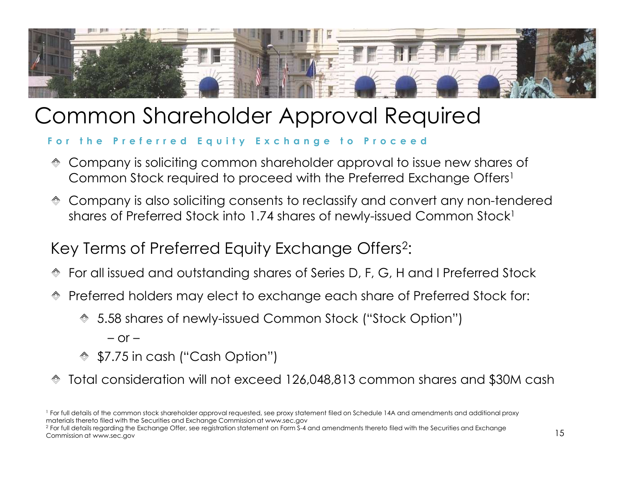![](_page_14_Picture_0.jpeg)

## Common Shareholder Approval Required

- Company is soliciting common shareholder approval to issue new shares of
- Company is also soliciting consents to reclassify and convert any non-tendered shares of Preferred Stock into 1.74 shares of newly-issued Common Stock<sup>1</sup> Preferred to exchange each share of Preferred Stock for:<br>
A share of Preferred Equity Exchange to Proceed<br>
Company is soliciting common shareholder approval to issue new shares of<br>
Company is also soliciting consents to re Preferred Equity Exchange to Prany is soliciting common shareholder approved with the Preferred stock required to proceed with the Preferred any is also soliciting consents to reclassify and of Preferred Stock into 1.74 s Common Stock required to proceed with the Preferred Exchange Offers<sup>1</sup><br>Company is also soliciting consents to reclassify and convert any non-tendered<br>shares of Preferred Stock into 1.74 shares of newly-issued Common Stock<sup></sup> For full details of the common stock into 1.74 shares of newly-issued Common Stock'<br>Key Terms of Preferred Equity Exchange Offers<sup>2</sup>;<br>
To rail issued and outstanding shares of Series D, F, G, H and I Preferred Stock<br>
Prefe

### :

- For all issued and outstanding shares of Series D, F, G, H and I Preferred Stock
- - 5.58 shares of newly-issued Common Stock ("Stock Option")
		-
	- \$7.75 in cash ("Cash Option")
- 

<sup>2</sup> For full details regarding the Exchange Offer, see registration statement on Form S-4 and amendments thereto filed with the Securities and Exchange  $\frac{1}{1-\epsilon}$ Commission at www.sec.gov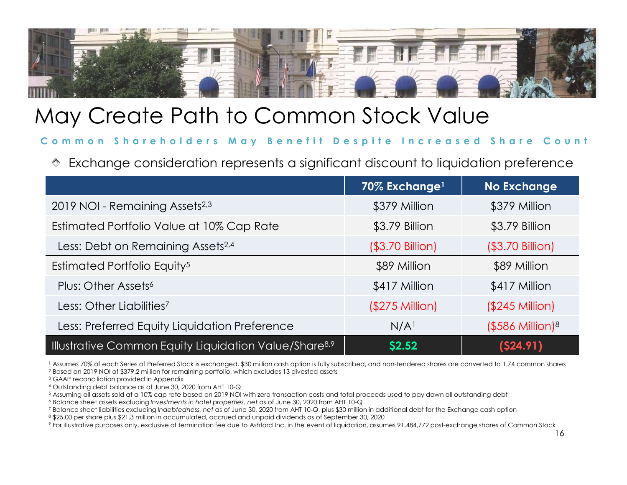![](_page_15_Picture_0.jpeg)

| Aay Create Path to Common Stock Value                                                                                                                                                                                                                                                                                                                                                                                                                                                                                                                                                                                                                                                                                                                                                                                                                                    |                           |                       |
|--------------------------------------------------------------------------------------------------------------------------------------------------------------------------------------------------------------------------------------------------------------------------------------------------------------------------------------------------------------------------------------------------------------------------------------------------------------------------------------------------------------------------------------------------------------------------------------------------------------------------------------------------------------------------------------------------------------------------------------------------------------------------------------------------------------------------------------------------------------------------|---------------------------|-----------------------|
| Common Shareholders May Benefit Despite Increased Share Count:                                                                                                                                                                                                                                                                                                                                                                                                                                                                                                                                                                                                                                                                                                                                                                                                           |                           |                       |
| Exchange consideration represents a significant discount to liquidation preference                                                                                                                                                                                                                                                                                                                                                                                                                                                                                                                                                                                                                                                                                                                                                                                       |                           |                       |
|                                                                                                                                                                                                                                                                                                                                                                                                                                                                                                                                                                                                                                                                                                                                                                                                                                                                          | 70% Exchange <sup>1</sup> | <b>No Exchange</b>    |
| 2019 NOI - Remaining Assets <sup>2,3</sup>                                                                                                                                                                                                                                                                                                                                                                                                                                                                                                                                                                                                                                                                                                                                                                                                                               | \$379 Million             | \$379 Million         |
| Estimated Portfolio Value at 10% Cap Rate                                                                                                                                                                                                                                                                                                                                                                                                                                                                                                                                                                                                                                                                                                                                                                                                                                | \$3.79 Billion            | \$3.79 Billion        |
| Less: Debt on Remaining Assets <sup>2,4</sup>                                                                                                                                                                                                                                                                                                                                                                                                                                                                                                                                                                                                                                                                                                                                                                                                                            | (\$3.70 Billion)          | (\$3.70 Billion)      |
| Estimated Portfolio Equity <sup>5</sup>                                                                                                                                                                                                                                                                                                                                                                                                                                                                                                                                                                                                                                                                                                                                                                                                                                  | \$89 Million              | \$89 Million          |
| Plus: Other Assets <sup>6</sup>                                                                                                                                                                                                                                                                                                                                                                                                                                                                                                                                                                                                                                                                                                                                                                                                                                          | \$417 Million             | \$417 Million         |
| Less: Other Liabilities <sup>7</sup>                                                                                                                                                                                                                                                                                                                                                                                                                                                                                                                                                                                                                                                                                                                                                                                                                                     | (\$275 Million)           | $($245$ Million)      |
| Less: Preferred Equity Liquidation Preference                                                                                                                                                                                                                                                                                                                                                                                                                                                                                                                                                                                                                                                                                                                                                                                                                            | N/A <sup>1</sup>          | $($586$ Million $)^8$ |
| Illustrative Common Equity Liquidation Value/Share <sup>8,9</sup>                                                                                                                                                                                                                                                                                                                                                                                                                                                                                                                                                                                                                                                                                                                                                                                                        | \$2.52                    | $($ \$24.91)          |
| 1 Assumes 70% of each Series of Preferred Stock is exchanged, \$30 million cash option is fully subscribed, and non-tendered shares are converted to 1.74 common shares<br><sup>2</sup> Based on 2019 NOI of \$379.2 million for remaining portfolio, which excludes 13 divested assets<br><sup>3</sup> GAAP reconciliation provided in Appendix<br><sup>4</sup> Outstanding debt balance as of June 30, 2020 from AHT 10-Q<br>5 Assuming all assets sold at a 10% cap rate based on 2019 NOI with zero transaction costs and total proceeds used to pay down all outstanding debt<br><sup>6</sup> Balance sheet assets excluding Investments in hotel properties, net as of June 30, 2020 from AHT 10-Q<br>7 Balance sheet liabilities excluding Indebtedness, net as of June 30, 2020 from AHT 10-Q, plus \$30 million in additional debt for the Exchange cash option |                           |                       |

\$25.00 per share plus \$21.3 million in accumulated, accrued and unpaid dividends as of September 30, 2020

9 For illustrative purposes only, exclusive of termination fee due to Ashford Inc. in the event of liquidation, assumes 91,484,772 post-exchange shares of Common Stock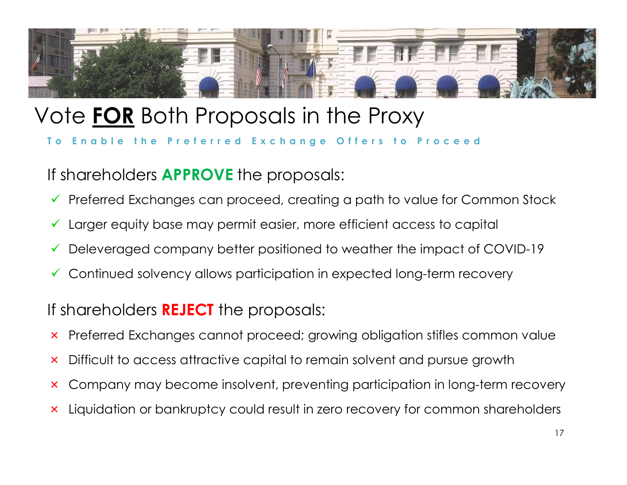![](_page_16_Picture_0.jpeg)

## Vote FOR Both Proposals in the Proxy

If shareholders **APPROVE** the proposals:

- $\checkmark$  Preferred Exchanges can proceed, creating a path to value for Common Stock • Enable the Preferred Exchange Offers to Proceed<br>
is hareholders APPROVE the proposals;<br>
← Preferred Exchanges can proceed, creating a path to value for Common Stock<br>
← Larger equity base may permit easier, more efficien
- 
- 
- Continued solvency allows participation in expected long-term recovery

### If shareholders **REJECT** the proposals:

- 
- × Difficult to access attractive capital to remain solvent and pursue growth
- × Company may become insolvent, preventing participation in long-term recovery
- × Liquidation or bankruptcy could result in zero recovery for common shareholders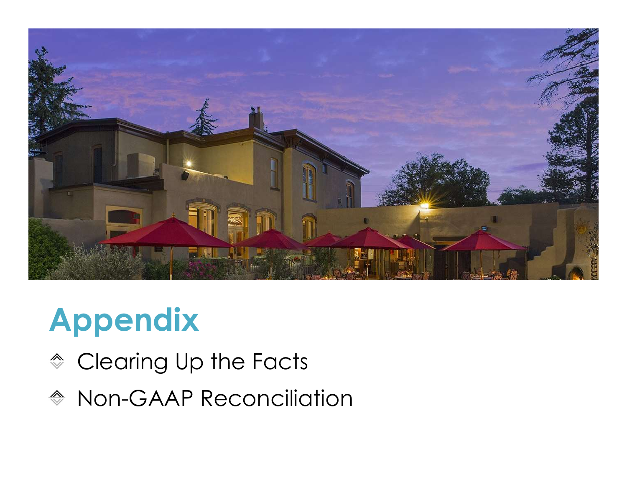![](_page_17_Picture_0.jpeg)

# Appendix

- ◆ Clearing Up the Facts
- **◈ Non-GAAP Reconciliation**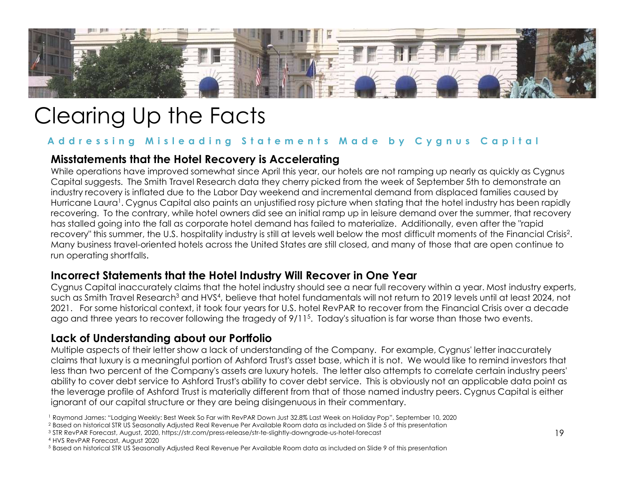![](_page_18_Picture_0.jpeg)

## Clearing Up the Facts

### Misstatements that the Hotel Recovery is Accelerating

While operations have improved somewhat since April this year, our hotels are not ramping up nearly as quickly as Cygnus Capital suggests. The Smith Travel Research data they cherry picked from the week of September 5th to demonstrate an industry recovery is inflated due to the Labor Day weekend and incremental demand from displaced families caused by Hurricane Laura<sup>1</sup>. Cygnus Capital also paints an unjustified rosy picture when stating that the hotel industry has been rapidly recovering. To the contrary, while hotel owners did see an initial ramp up in leisure demand over the summer, that recovery has stalled going into the fall as corporate hotel demand has failed to materialize. Additionally, even after the "rapid recovery" this summer, the U.S. hospitality industry is still at levels well below the most difficult moments of the Financial Crisis<sup>2</sup>. . Many business travel-oriented hotels across the United States are still closed, and many of those that are open continue to run operating shortfalls. **Misstatements that the Hotel Recovery is Accelerating**<br>whise operations have improved somewhat since April this year, our droited from the week of September 5th to demonstrate an<br>Copinta uggests. The Smith Travel Research

### Incorrect Statements that the Hotel Industry Will Recover in One Year

Cygnus Capital inaccurately claims that the hotel industry should see a near full recovery within a year. Most industry experts, such as Smith Travel Research<sup>3</sup> and HVS<sup>4</sup>, believe that hotel fundamentals will not return to 2019 levels until at least 2024, not 2021. For some historical context, it took four years for U.S. hotel RevPAR to recover from the Financial Crisis over a decade ago and three years to recover following the tragedy of 9/115 . Today's situation is far worse than those two events.

### Lack of Understanding about our Portfolio

Multiple aspects of their letter show a lack of understanding of the Company. For example, Cygnus' letter inaccurately less than two percent of the Company's assets are luxury hotels. The letter also attempts to correlate certain industry peers' ability to cover debt service to Ashford Trust's ability to cover debt service. This is obviously not an applicable data point as the leverage profile of Ashford Trust is materially different from that of those named industry peers. Cygnus Capital is either ignorant of our capital structure or they are being disingenuous in their commentary.<br>1 Raymond James: "Lodging Weekly: Best Week So Far with RevPAR Down Just 32.8% Last Week on Holiday Pop", September 10, 2020 The reverse of the Company's asses the United Structure of the Break Forecast, August, August, August, August, August, August, August, August, August, August, August, August, August, August, August, August, August, August, More to the the Hotel Control of the Hotel States ore still closed, and many of those that are open continue to<br>
the operating shortfolis.<br> **Incorrect Statements that the Hotel Industry Will Recover in One Year**<br>
Cyprus Co

<sup>2</sup> Based on historical STR US Seasonally Adjusted Real Revenue Per Available Room data as included on Slide 5 of this presentation

<sup>3</sup> STR RevPAR Forecast, August, 2020, https://str.com/press-release/str-te-slightly-downgrade-us-hotel-forecast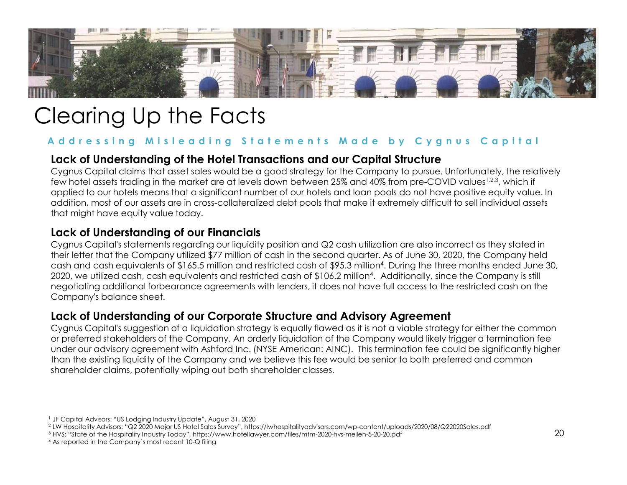![](_page_19_Picture_0.jpeg)

## Clearing Up the Facts

### Lack of Understanding of the Hotel Transactions and our Capital Structure

Cygnus Capital claims that asset sales would be a good strategy for the Company to pursue. Unfortunately, the relatively few hotel assets trading in the market are at levels down between 25% and 40% from pre-COVID values<sup>1,2,3</sup>, which if applied to our hotels means that a significant number of our hotels and loan pools do not have positive equity value. In addition, most of our assets are in cross-collateralized debt pools that make it extremely difficult to sell individual assets that might have equity value today.

### Lack of Understanding of our Financials

Cygnus Capital's statements regarding our liquidity position and Q2 cash utilization are also incorrect as they stated in their letter that the Company utilized \$77 million of cash in the second quarter. As of June 30, 2020, the Company held cash and cash equivalents of \$165.5 million and restricted cash of \$95.3 million4 . During the three months ended June 30, 2020, we utilized cash, cash equivalents and restricted cash of \$106.2 million4 . Additionally, since the Company is still negotiating additional forbearance agreements with lenders, it does not have full access to the restricted cash on the Company's balance sheet. **Lack of Understanding of our Financials**<br>Cygnus Copital's statements regarding our liquidity position and Q2 cash utilization are also incorrect at<br>their letter that the Company utilized \$77 million of cash in the second

### Lack of Understanding of our Corporate Structure and Advisory Agreement

Cygnus Capital's suggestion of a liquidation strategy is equally flawed as it is not a viable strategy for either the common or preferred stakeholders of the Company. An orderly liquidation of the Company would likely trigger a termination fee under our advisory agreement with Ashford Inc. (NYSE American: AINC). This termination fee could be significantly higher than the existing liquidity of the Company and we believe this fee would be senior to both preferred and common shareholder claims, potentially wiping out both shareholder classes.

<sup>1</sup> JF Capital Advisors: "US Lodging Industry Update", August 31, 2020

<sup>2</sup> LW Hospitality Advisors: "Q2 2020 Major US Hotel Sales Survey", https://lwhospitalityadvisors.com/wp-content/uploads/2020/08/Q22020Sales.pdf